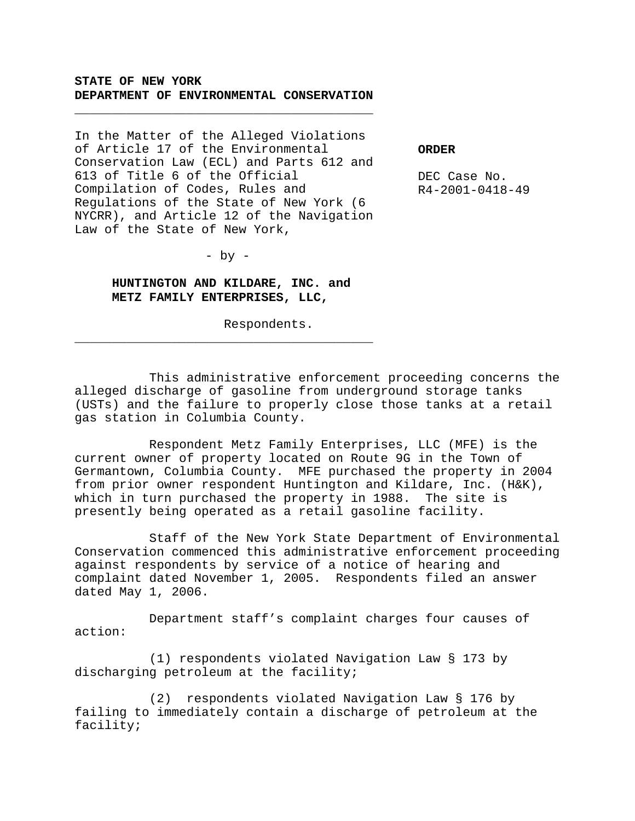# **STATE OF NEW YORK DEPARTMENT OF ENVIRONMENTAL CONSERVATION**

\_\_\_\_\_\_\_\_\_\_\_\_\_\_\_\_\_\_\_\_\_\_\_\_\_\_\_\_\_\_\_\_\_\_\_\_\_\_\_\_

In the Matter of the Alleged Violations of Article 17 of the Environmental Conservation Law (ECL) and Parts 612 and 613 of Title 6 of the Official Compilation of Codes, Rules and Regulations of the State of New York (6 NYCRR), and Article 12 of the Navigation Law of the State of New York,

**ORDER**

DEC Case No. R4-2001-0418-49

 $-$  by  $-$ 

**HUNTINGTON AND KILDARE, INC. and METZ FAMILY ENTERPRISES, LLC,**

\_\_\_\_\_\_\_\_\_\_\_\_\_\_\_\_\_\_\_\_\_\_\_\_\_\_\_\_\_\_\_\_\_\_\_\_\_\_\_\_

Respondents.

This administrative enforcement proceeding concerns the alleged discharge of gasoline from underground storage tanks (USTs) and the failure to properly close those tanks at a retail gas station in Columbia County.

Respondent Metz Family Enterprises, LLC (MFE) is the current owner of property located on Route 9G in the Town of Germantown, Columbia County. MFE purchased the property in 2004 from prior owner respondent Huntington and Kildare, Inc. (H&K), which in turn purchased the property in 1988. The site is presently being operated as a retail gasoline facility.

Staff of the New York State Department of Environmental Conservation commenced this administrative enforcement proceeding against respondents by service of a notice of hearing and complaint dated November 1, 2005. Respondents filed an answer dated May 1, 2006.

Department staff's complaint charges four causes of action:

(1) respondents violated Navigation Law § 173 by discharging petroleum at the facility;

(2) respondents violated Navigation Law § 176 by failing to immediately contain a discharge of petroleum at the facility;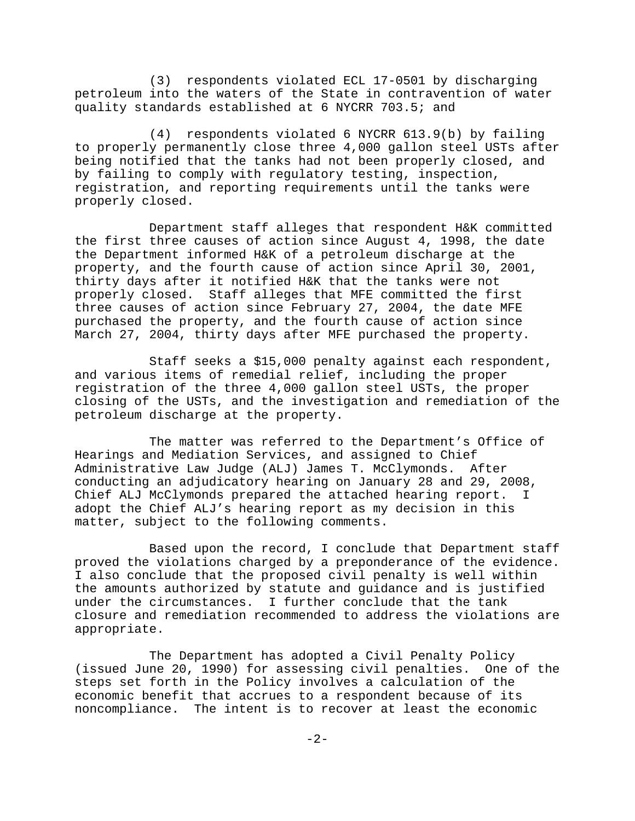(3) respondents violated ECL 17-0501 by discharging petroleum into the waters of the State in contravention of water quality standards established at 6 NYCRR 703.5; and

(4) respondents violated 6 NYCRR 613.9(b) by failing to properly permanently close three 4,000 gallon steel USTs after being notified that the tanks had not been properly closed, and by failing to comply with regulatory testing, inspection, registration, and reporting requirements until the tanks were properly closed.

Department staff alleges that respondent H&K committed the first three causes of action since August 4, 1998, the date the Department informed H&K of a petroleum discharge at the property, and the fourth cause of action since April 30, 2001, thirty days after it notified H&K that the tanks were not properly closed. Staff alleges that MFE committed the first three causes of action since February 27, 2004, the date MFE purchased the property, and the fourth cause of action since March 27, 2004, thirty days after MFE purchased the property.

Staff seeks a \$15,000 penalty against each respondent, and various items of remedial relief, including the proper registration of the three 4,000 gallon steel USTs, the proper closing of the USTs, and the investigation and remediation of the petroleum discharge at the property.

The matter was referred to the Department's Office of Hearings and Mediation Services, and assigned to Chief Administrative Law Judge (ALJ) James T. McClymonds. After conducting an adjudicatory hearing on January 28 and 29, 2008, Chief ALJ McClymonds prepared the attached hearing report. I adopt the Chief ALJ's hearing report as my decision in this matter, subject to the following comments.

Based upon the record, I conclude that Department staff proved the violations charged by a preponderance of the evidence. I also conclude that the proposed civil penalty is well within the amounts authorized by statute and guidance and is justified under the circumstances. I further conclude that the tank closure and remediation recommended to address the violations are appropriate.

The Department has adopted a Civil Penalty Policy (issued June 20, 1990) for assessing civil penalties. One of the steps set forth in the Policy involves a calculation of the economic benefit that accrues to a respondent because of its noncompliance. The intent is to recover at least the economic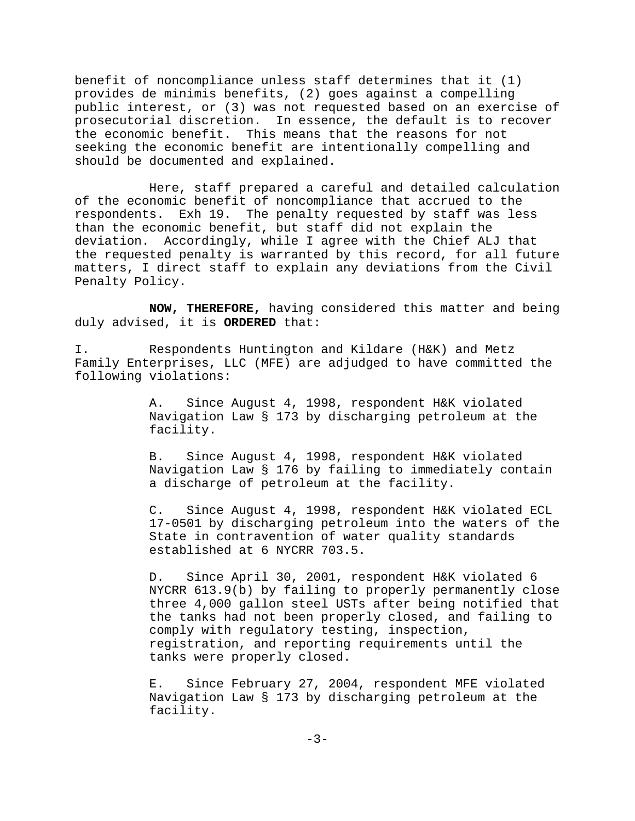benefit of noncompliance unless staff determines that it (1) provides de minimis benefits, (2) goes against a compelling public interest, or (3) was not requested based on an exercise of prosecutorial discretion. In essence, the default is to recover the economic benefit. This means that the reasons for not seeking the economic benefit are intentionally compelling and should be documented and explained.

Here, staff prepared a careful and detailed calculation of the economic benefit of noncompliance that accrued to the respondents. Exh 19. The penalty requested by staff was less than the economic benefit, but staff did not explain the deviation. Accordingly, while I agree with the Chief ALJ that the requested penalty is warranted by this record, for all future matters, I direct staff to explain any deviations from the Civil Penalty Policy.

**NOW, THEREFORE,** having considered this matter and being duly advised, it is **ORDERED** that:

I. Respondents Huntington and Kildare (H&K) and Metz Family Enterprises, LLC (MFE) are adjudged to have committed the following violations:

> A. Since August 4, 1998, respondent H&K violated Navigation Law § 173 by discharging petroleum at the facility.

B. Since August 4, 1998, respondent H&K violated Navigation Law § 176 by failing to immediately contain a discharge of petroleum at the facility.

C. Since August 4, 1998, respondent H&K violated ECL 17-0501 by discharging petroleum into the waters of the State in contravention of water quality standards established at 6 NYCRR 703.5.

D. Since April 30, 2001, respondent H&K violated 6 NYCRR 613.9(b) by failing to properly permanently close three 4,000 gallon steel USTs after being notified that the tanks had not been properly closed, and failing to comply with regulatory testing, inspection, registration, and reporting requirements until the tanks were properly closed.

E. Since February 27, 2004, respondent MFE violated Navigation Law § 173 by discharging petroleum at the facility.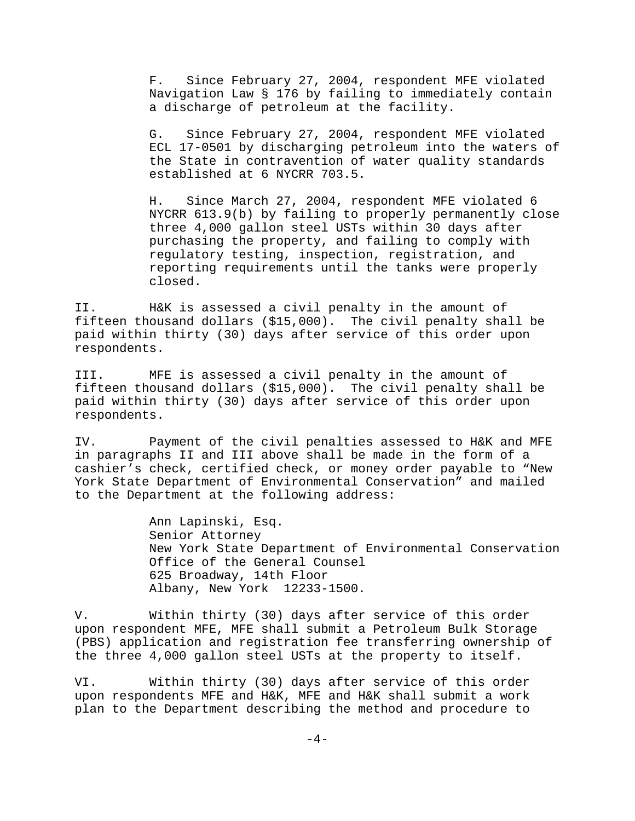F. Since February 27, 2004, respondent MFE violated Navigation Law § 176 by failing to immediately contain a discharge of petroleum at the facility.

G. Since February 27, 2004, respondent MFE violated ECL 17-0501 by discharging petroleum into the waters of the State in contravention of water quality standards established at 6 NYCRR 703.5.

H. Since March 27, 2004, respondent MFE violated 6 NYCRR 613.9(b) by failing to properly permanently close three 4,000 gallon steel USTs within 30 days after purchasing the property, and failing to comply with regulatory testing, inspection, registration, and reporting requirements until the tanks were properly closed.

II. H&K is assessed a civil penalty in the amount of fifteen thousand dollars (\$15,000). The civil penalty shall be paid within thirty (30) days after service of this order upon respondents.

III. MFE is assessed a civil penalty in the amount of fifteen thousand dollars (\$15,000). The civil penalty shall be paid within thirty (30) days after service of this order upon respondents.

IV. Payment of the civil penalties assessed to H&K and MFE in paragraphs II and III above shall be made in the form of a cashier's check, certified check, or money order payable to "New York State Department of Environmental Conservation" and mailed to the Department at the following address:

> Ann Lapinski, Esq. Senior Attorney New York State Department of Environmental Conservation Office of the General Counsel 625 Broadway, 14th Floor Albany, New York 12233-1500.

V. Within thirty (30) days after service of this order upon respondent MFE, MFE shall submit a Petroleum Bulk Storage (PBS) application and registration fee transferring ownership of the three 4,000 gallon steel USTs at the property to itself.

VI. Within thirty (30) days after service of this order upon respondents MFE and H&K, MFE and H&K shall submit a work plan to the Department describing the method and procedure to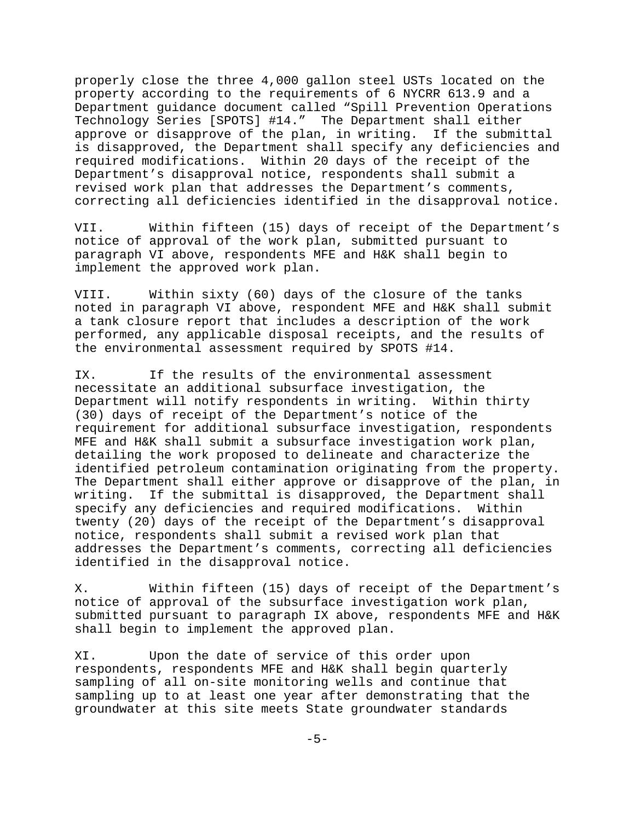properly close the three 4,000 gallon steel USTs located on the property according to the requirements of 6 NYCRR 613.9 and a Department guidance document called "Spill Prevention Operations Technology Series [SPOTS] #14." The Department shall either approve or disapprove of the plan, in writing. If the submittal is disapproved, the Department shall specify any deficiencies and required modifications. Within 20 days of the receipt of the Department's disapproval notice, respondents shall submit a revised work plan that addresses the Department's comments, correcting all deficiencies identified in the disapproval notice.

VII. Within fifteen (15) days of receipt of the Department's notice of approval of the work plan, submitted pursuant to paragraph VI above, respondents MFE and H&K shall begin to implement the approved work plan.

VIII. Within sixty (60) days of the closure of the tanks noted in paragraph VI above, respondent MFE and H&K shall submit a tank closure report that includes a description of the work performed, any applicable disposal receipts, and the results of the environmental assessment required by SPOTS #14.

IX. If the results of the environmental assessment necessitate an additional subsurface investigation, the Department will notify respondents in writing. Within thirty (30) days of receipt of the Department's notice of the requirement for additional subsurface investigation, respondents MFE and H&K shall submit a subsurface investigation work plan, detailing the work proposed to delineate and characterize the identified petroleum contamination originating from the property. The Department shall either approve or disapprove of the plan, in writing. If the submittal is disapproved, the Department shall specify any deficiencies and required modifications. Within twenty (20) days of the receipt of the Department's disapproval notice, respondents shall submit a revised work plan that addresses the Department's comments, correcting all deficiencies identified in the disapproval notice.

X. Within fifteen (15) days of receipt of the Department's notice of approval of the subsurface investigation work plan, submitted pursuant to paragraph IX above, respondents MFE and H&K shall begin to implement the approved plan.

XI. Upon the date of service of this order upon respondents, respondents MFE and H&K shall begin quarterly sampling of all on-site monitoring wells and continue that sampling up to at least one year after demonstrating that the groundwater at this site meets State groundwater standards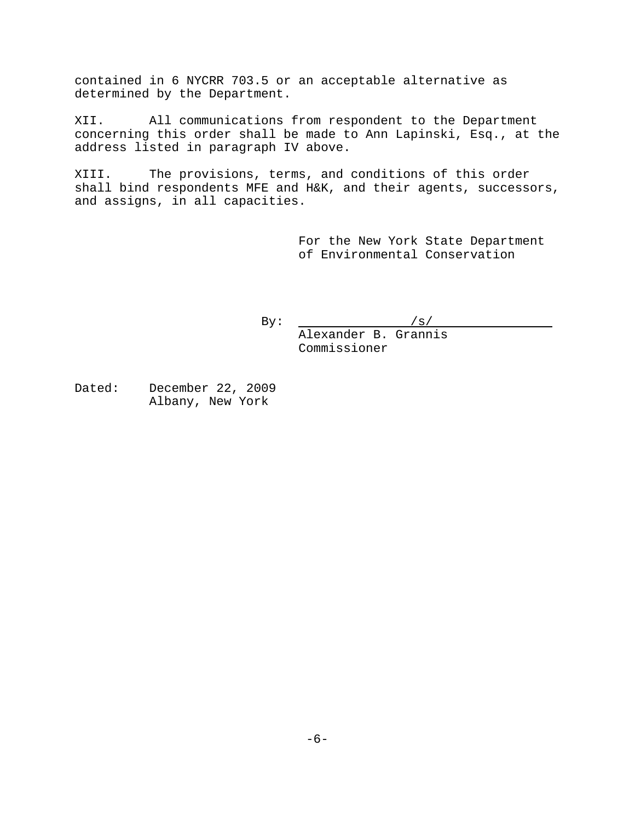contained in 6 NYCRR 703.5 or an acceptable alternative as determined by the Department.

XII. All communications from respondent to the Department concerning this order shall be made to Ann Lapinski, Esq., at the address listed in paragraph IV above.

XIII. The provisions, terms, and conditions of this order shall bind respondents MFE and H&K, and their agents, successors, and assigns, in all capacities.

> For the New York State Department of Environmental Conservation

By:  $/s/$ 

Alexander B. Grannis Commissioner

Dated: December 22, 2009 Albany, New York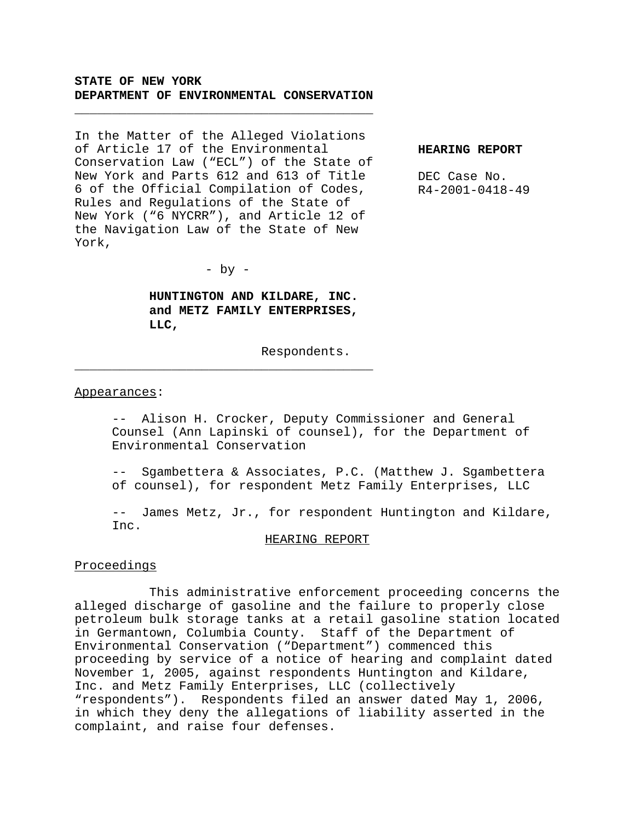# **STATE OF NEW YORK DEPARTMENT OF ENVIRONMENTAL CONSERVATION**

\_\_\_\_\_\_\_\_\_\_\_\_\_\_\_\_\_\_\_\_\_\_\_\_\_\_\_\_\_\_\_\_\_\_\_\_\_\_\_\_

In the Matter of the Alleged Violations of Article 17 of the Environmental Conservation Law ("ECL") of the State of New York and Parts 612 and 613 of Title 6 of the Official Compilation of Codes, Rules and Regulations of the State of New York ("6 NYCRR"), and Article 12 of the Navigation Law of the State of New York,

**HEARING REPORT**

DEC Case No. R4-2001-0418-49

 $-$  by  $-$ 

\_\_\_\_\_\_\_\_\_\_\_\_\_\_\_\_\_\_\_\_\_\_\_\_\_\_\_\_\_\_\_\_\_\_\_\_\_\_\_\_

**HUNTINGTON AND KILDARE, INC. and METZ FAMILY ENTERPRISES, LLC,**

Respondents.

#### Appearances:

-- Alison H. Crocker, Deputy Commissioner and General Counsel (Ann Lapinski of counsel), for the Department of Environmental Conservation

-- Sgambettera & Associates, P.C. (Matthew J. Sgambettera of counsel), for respondent Metz Family Enterprises, LLC

-- James Metz, Jr., for respondent Huntington and Kildare, Inc.

#### HEARING REPORT

#### Proceedings

This administrative enforcement proceeding concerns the alleged discharge of gasoline and the failure to properly close petroleum bulk storage tanks at a retail gasoline station located in Germantown, Columbia County. Staff of the Department of Environmental Conservation ("Department") commenced this proceeding by service of a notice of hearing and complaint dated November 1, 2005, against respondents Huntington and Kildare, Inc. and Metz Family Enterprises, LLC (collectively "respondents"). Respondents filed an answer dated May 1, 2006, in which they deny the allegations of liability asserted in the complaint, and raise four defenses.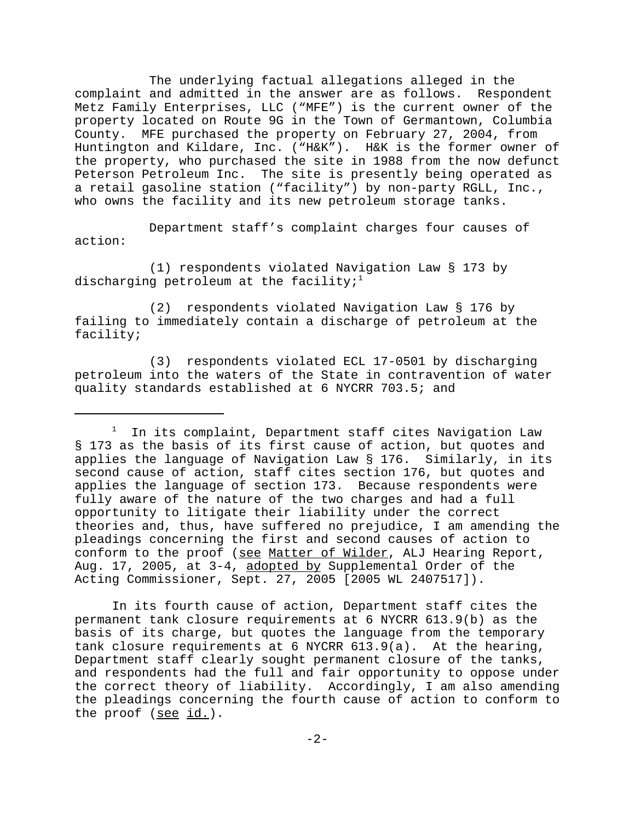The underlying factual allegations alleged in the complaint and admitted in the answer are as follows. Respondent Metz Family Enterprises, LLC ("MFE") is the current owner of the property located on Route 9G in the Town of Germantown, Columbia County. MFE purchased the property on February 27, 2004, from Huntington and Kildare, Inc. ("H&K"). H&K is the former owner of the property, who purchased the site in 1988 from the now defunct Peterson Petroleum Inc. The site is presently being operated as a retail gasoline station ("facility") by non-party RGLL, Inc., who owns the facility and its new petroleum storage tanks.

Department staff's complaint charges four causes of action:

(1) respondents violated Navigation Law § 173 by discharging petroleum at the facility; $1$ 

(2) respondents violated Navigation Law § 176 by failing to immediately contain a discharge of petroleum at the facility;

(3) respondents violated ECL 17-0501 by discharging petroleum into the waters of the State in contravention of water quality standards established at 6 NYCRR 703.5; and

In its fourth cause of action, Department staff cites the permanent tank closure requirements at 6 NYCRR 613.9(b) as the basis of its charge, but quotes the language from the temporary tank closure requirements at 6 NYCRR 613.9(a). At the hearing, Department staff clearly sought permanent closure of the tanks, and respondents had the full and fair opportunity to oppose under the correct theory of liability. Accordingly, I am also amending the pleadings concerning the fourth cause of action to conform to the proof (see id.).

 $1$  In its complaint, Department staff cites Navigation Law § 173 as the basis of its first cause of action, but quotes and applies the language of Navigation Law § 176. Similarly, in its second cause of action, staff cites section 176, but quotes and applies the language of section 173. Because respondents were fully aware of the nature of the two charges and had a full opportunity to litigate their liability under the correct theories and, thus, have suffered no prejudice, I am amending the pleadings concerning the first and second causes of action to conform to the proof (see Matter of Wilder, ALJ Hearing Report, Aug. 17, 2005, at 3-4, adopted by Supplemental Order of the Acting Commissioner, Sept. 27, 2005 [2005 WL 2407517]).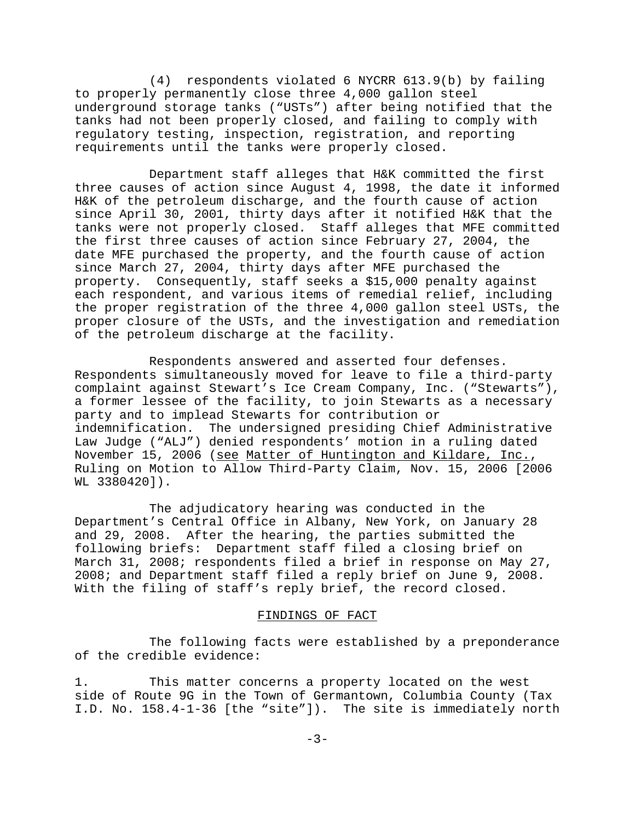(4) respondents violated 6 NYCRR 613.9(b) by failing to properly permanently close three 4,000 gallon steel underground storage tanks ("USTs") after being notified that the tanks had not been properly closed, and failing to comply with regulatory testing, inspection, registration, and reporting requirements until the tanks were properly closed.

Department staff alleges that H&K committed the first three causes of action since August 4, 1998, the date it informed H&K of the petroleum discharge, and the fourth cause of action since April 30, 2001, thirty days after it notified H&K that the tanks were not properly closed. Staff alleges that MFE committed the first three causes of action since February 27, 2004, the date MFE purchased the property, and the fourth cause of action since March 27, 2004, thirty days after MFE purchased the property. Consequently, staff seeks a \$15,000 penalty against each respondent, and various items of remedial relief, including the proper registration of the three 4,000 gallon steel USTs, the proper closure of the USTs, and the investigation and remediation of the petroleum discharge at the facility.

Respondents answered and asserted four defenses. Respondents simultaneously moved for leave to file a third-party complaint against Stewart's Ice Cream Company, Inc. ("Stewarts"), a former lessee of the facility, to join Stewarts as a necessary party and to implead Stewarts for contribution or indemnification. The undersigned presiding Chief Administrative Law Judge ("ALJ") denied respondents' motion in a ruling dated November 15, 2006 (see Matter of Huntington and Kildare, Inc., Ruling on Motion to Allow Third-Party Claim, Nov. 15, 2006 [2006 WL 3380420]).

The adjudicatory hearing was conducted in the Department's Central Office in Albany, New York, on January 28 and 29, 2008. After the hearing, the parties submitted the following briefs: Department staff filed a closing brief on March 31, 2008; respondents filed a brief in response on May 27, 2008; and Department staff filed a reply brief on June 9, 2008. With the filing of staff's reply brief, the record closed.

### FINDINGS OF FACT

The following facts were established by a preponderance of the credible evidence:

1. This matter concerns a property located on the west side of Route 9G in the Town of Germantown, Columbia County (Tax I.D. No. 158.4-1-36 [the "site"]). The site is immediately north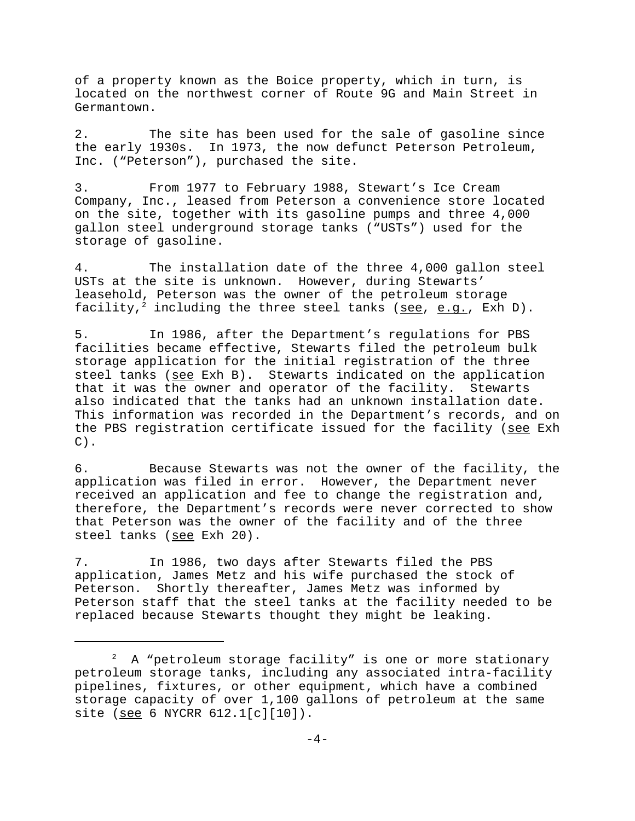of a property known as the Boice property, which in turn, is located on the northwest corner of Route 9G and Main Street in Germantown.

2. The site has been used for the sale of gasoline since the early 1930s. In 1973, the now defunct Peterson Petroleum, Inc. ("Peterson"), purchased the site.

3. From 1977 to February 1988, Stewart's Ice Cream Company, Inc., leased from Peterson a convenience store located on the site, together with its gasoline pumps and three 4,000 gallon steel underground storage tanks ("USTs") used for the storage of gasoline.

4. The installation date of the three 4,000 gallon steel USTs at the site is unknown. However, during Stewarts' leasehold, Peterson was the owner of the petroleum storage facility,<sup>2</sup> including the three steel tanks (see, e.g., Exh D).

5. In 1986, after the Department's regulations for PBS facilities became effective, Stewarts filed the petroleum bulk storage application for the initial registration of the three steel tanks (see Exh B). Stewarts indicated on the application that it was the owner and operator of the facility. Stewarts also indicated that the tanks had an unknown installation date. This information was recorded in the Department's records, and on the PBS registration certificate issued for the facility (see Exh  $C)$ .

6. Because Stewarts was not the owner of the facility, the application was filed in error. However, the Department never received an application and fee to change the registration and, therefore, the Department's records were never corrected to show that Peterson was the owner of the facility and of the three steel tanks (see Exh 20).

7. In 1986, two days after Stewarts filed the PBS application, James Metz and his wife purchased the stock of Peterson. Shortly thereafter, James Metz was informed by Peterson staff that the steel tanks at the facility needed to be replaced because Stewarts thought they might be leaking.

 $2$  A "petroleum storage facility" is one or more stationary petroleum storage tanks, including any associated intra-facility pipelines, fixtures, or other equipment, which have a combined storage capacity of over 1,100 gallons of petroleum at the same site (see 6 NYCRR 612.1[c][10]).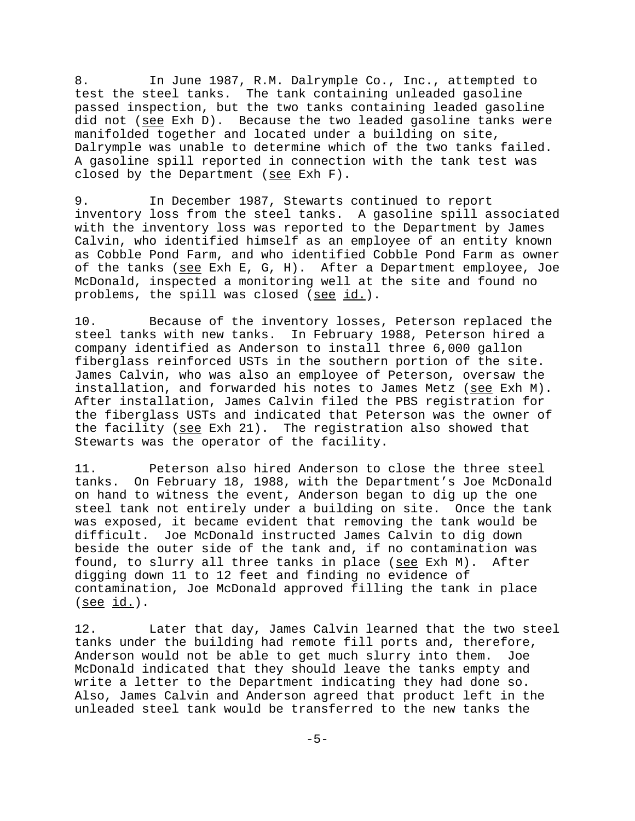8. In June 1987, R.M. Dalrymple Co., Inc., attempted to test the steel tanks. The tank containing unleaded gasoline passed inspection, but the two tanks containing leaded gasoline did not (see Exh D). Because the two leaded gasoline tanks were manifolded together and located under a building on site, Dalrymple was unable to determine which of the two tanks failed. A gasoline spill reported in connection with the tank test was closed by the Department (see Exh  $F$ ).

9. In December 1987, Stewarts continued to report inventory loss from the steel tanks. A gasoline spill associated with the inventory loss was reported to the Department by James Calvin, who identified himself as an employee of an entity known as Cobble Pond Farm, and who identified Cobble Pond Farm as owner of the tanks (see Exh E, G, H). After a Department employee, Joe McDonald, inspected a monitoring well at the site and found no problems, the spill was closed (see id.).

10. Because of the inventory losses, Peterson replaced the steel tanks with new tanks. In February 1988, Peterson hired a company identified as Anderson to install three 6,000 gallon fiberglass reinforced USTs in the southern portion of the site. James Calvin, who was also an employee of Peterson, oversaw the installation, and forwarded his notes to James Metz (see Exh M). After installation, James Calvin filed the PBS registration for the fiberglass USTs and indicated that Peterson was the owner of the facility (see Exh 21). The registration also showed that Stewarts was the operator of the facility.

11. Peterson also hired Anderson to close the three steel tanks. On February 18, 1988, with the Department's Joe McDonald on hand to witness the event, Anderson began to dig up the one steel tank not entirely under a building on site. Once the tank was exposed, it became evident that removing the tank would be difficult. Joe McDonald instructed James Calvin to dig down beside the outer side of the tank and, if no contamination was found, to slurry all three tanks in place (see Exh M). After digging down 11 to 12 feet and finding no evidence of contamination, Joe McDonald approved filling the tank in place (see id.).

12. Later that day, James Calvin learned that the two steel tanks under the building had remote fill ports and, therefore, Anderson would not be able to get much slurry into them. Joe McDonald indicated that they should leave the tanks empty and write a letter to the Department indicating they had done so. Also, James Calvin and Anderson agreed that product left in the unleaded steel tank would be transferred to the new tanks the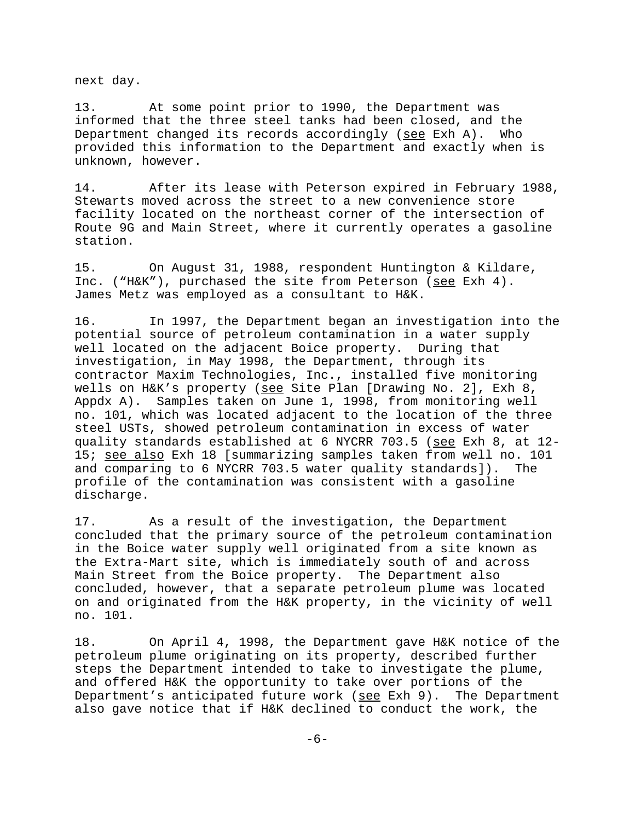next day.

13. At some point prior to 1990, the Department was informed that the three steel tanks had been closed, and the Department changed its records accordingly (see Exh A). Who provided this information to the Department and exactly when is unknown, however.

14. After its lease with Peterson expired in February 1988, Stewarts moved across the street to a new convenience store facility located on the northeast corner of the intersection of Route 9G and Main Street, where it currently operates a gasoline station.

15. On August 31, 1988, respondent Huntington & Kildare, Inc. ("H&K"), purchased the site from Peterson (see Exh 4). James Metz was employed as a consultant to H&K.

16. In 1997, the Department began an investigation into the potential source of petroleum contamination in a water supply well located on the adjacent Boice property. During that investigation, in May 1998, the Department, through its contractor Maxim Technologies, Inc., installed five monitoring wells on H&K's property (see Site Plan [Drawing No. 2], Exh 8, Appdx A). Samples taken on June 1, 1998, from monitoring well no. 101, which was located adjacent to the location of the three steel USTs, showed petroleum contamination in excess of water quality standards established at 6 NYCRR 703.5 (see Exh 8, at 12- 15; see also Exh 18 [summarizing samples taken from well no. 101 and comparing to 6 NYCRR 703.5 water quality standards]). The profile of the contamination was consistent with a gasoline discharge.

17. As a result of the investigation, the Department concluded that the primary source of the petroleum contamination in the Boice water supply well originated from a site known as the Extra-Mart site, which is immediately south of and across Main Street from the Boice property. The Department also concluded, however, that a separate petroleum plume was located on and originated from the H&K property, in the vicinity of well no. 101.

18. On April 4, 1998, the Department gave H&K notice of the petroleum plume originating on its property, described further steps the Department intended to take to investigate the plume, and offered H&K the opportunity to take over portions of the Department's anticipated future work (see Exh 9). The Department also gave notice that if H&K declined to conduct the work, the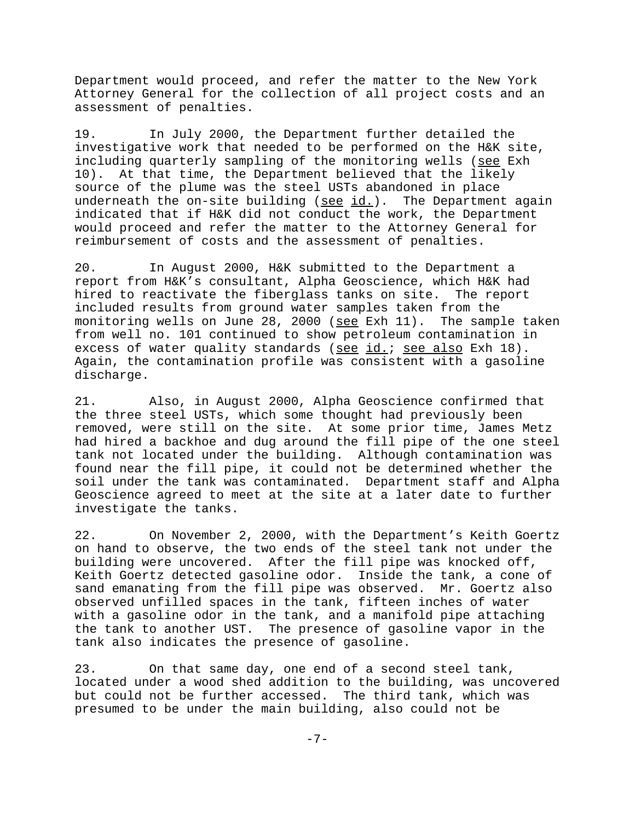Department would proceed, and refer the matter to the New York Attorney General for the collection of all project costs and an assessment of penalties.

19. In July 2000, the Department further detailed the investigative work that needed to be performed on the H&K site, including quarterly sampling of the monitoring wells (see Exh 10). At that time, the Department believed that the likely source of the plume was the steel USTs abandoned in place underneath the on-site building (see id.). The Department again indicated that if H&K did not conduct the work, the Department would proceed and refer the matter to the Attorney General for reimbursement of costs and the assessment of penalties.

20. In August 2000, H&K submitted to the Department a report from H&K's consultant, Alpha Geoscience, which H&K had hired to reactivate the fiberglass tanks on site. The report included results from ground water samples taken from the monitoring wells on June 28, 2000 (see Exh 11). The sample taken from well no. 101 continued to show petroleum contamination in excess of water quality standards (see id.; see also Exh 18). Again, the contamination profile was consistent with a gasoline discharge.

21. Also, in August 2000, Alpha Geoscience confirmed that the three steel USTs, which some thought had previously been removed, were still on the site. At some prior time, James Metz had hired a backhoe and dug around the fill pipe of the one steel tank not located under the building. Although contamination was found near the fill pipe, it could not be determined whether the soil under the tank was contaminated. Department staff and Alpha Geoscience agreed to meet at the site at a later date to further investigate the tanks.

22. On November 2, 2000, with the Department's Keith Goertz on hand to observe, the two ends of the steel tank not under the building were uncovered. After the fill pipe was knocked off, Keith Goertz detected gasoline odor. Inside the tank, a cone of sand emanating from the fill pipe was observed. Mr. Goertz also observed unfilled spaces in the tank, fifteen inches of water with a gasoline odor in the tank, and a manifold pipe attaching the tank to another UST. The presence of gasoline vapor in the tank also indicates the presence of gasoline.

23. On that same day, one end of a second steel tank, located under a wood shed addition to the building, was uncovered but could not be further accessed. The third tank, which was presumed to be under the main building, also could not be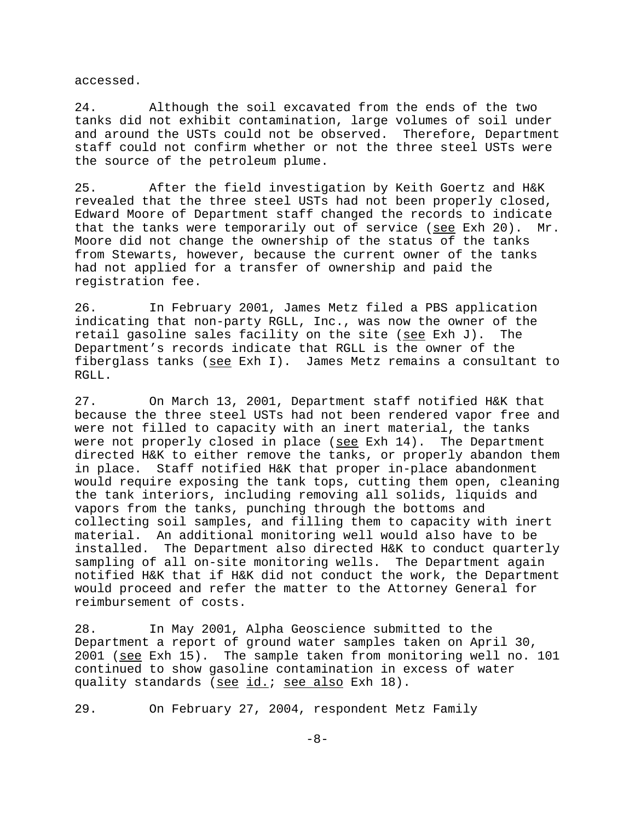accessed.

24. Although the soil excavated from the ends of the two tanks did not exhibit contamination, large volumes of soil under and around the USTs could not be observed. Therefore, Department staff could not confirm whether or not the three steel USTs were the source of the petroleum plume.

25. After the field investigation by Keith Goertz and H&K revealed that the three steel USTs had not been properly closed, Edward Moore of Department staff changed the records to indicate that the tanks were temporarily out of service (see Exh 20). Mr. Moore did not change the ownership of the status of the tanks from Stewarts, however, because the current owner of the tanks had not applied for a transfer of ownership and paid the registration fee.

26. In February 2001, James Metz filed a PBS application indicating that non-party RGLL, Inc., was now the owner of the retail gasoline sales facility on the site (see Exh J). The Department's records indicate that RGLL is the owner of the fiberglass tanks (see Exh I). James Metz remains a consultant to RGLL.

27. On March 13, 2001, Department staff notified H&K that because the three steel USTs had not been rendered vapor free and were not filled to capacity with an inert material, the tanks were not properly closed in place (see Exh 14). The Department directed H&K to either remove the tanks, or properly abandon them in place. Staff notified H&K that proper in-place abandonment would require exposing the tank tops, cutting them open, cleaning the tank interiors, including removing all solids, liquids and vapors from the tanks, punching through the bottoms and collecting soil samples, and filling them to capacity with inert material. An additional monitoring well would also have to be installed. The Department also directed H&K to conduct quarterly sampling of all on-site monitoring wells. The Department again notified H&K that if H&K did not conduct the work, the Department would proceed and refer the matter to the Attorney General for reimbursement of costs.

28. In May 2001, Alpha Geoscience submitted to the Department a report of ground water samples taken on April 30, 2001 (see Exh 15). The sample taken from monitoring well no. 101 continued to show gasoline contamination in excess of water quality standards (see id.; see also Exh 18).

29. On February 27, 2004, respondent Metz Family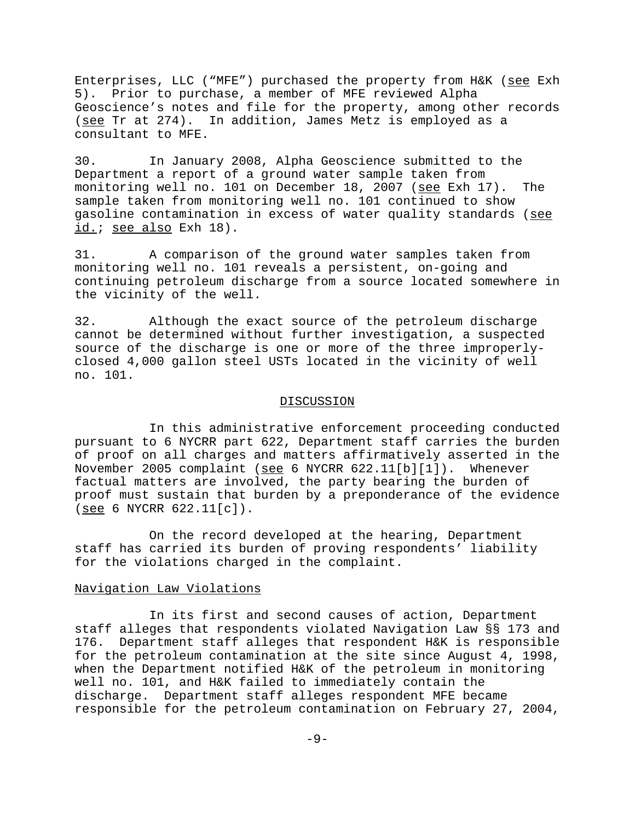Enterprises, LLC ("MFE") purchased the property from H&K (see Exh 5). Prior to purchase, a member of MFE reviewed Alpha Geoscience's notes and file for the property, among other records (see Tr at 274). In addition, James Metz is employed as a consultant to MFE.

30. In January 2008, Alpha Geoscience submitted to the Department a report of a ground water sample taken from monitoring well no. 101 on December 18, 2007 (see Exh 17). The sample taken from monitoring well no. 101 continued to show gasoline contamination in excess of water quality standards (see id.; see also Exh 18).

31. A comparison of the ground water samples taken from monitoring well no. 101 reveals a persistent, on-going and continuing petroleum discharge from a source located somewhere in the vicinity of the well.

32. Although the exact source of the petroleum discharge cannot be determined without further investigation, a suspected source of the discharge is one or more of the three improperlyclosed 4,000 gallon steel USTs located in the vicinity of well no. 101.

#### DISCUSSION

In this administrative enforcement proceeding conducted pursuant to 6 NYCRR part 622, Department staff carries the burden of proof on all charges and matters affirmatively asserted in the November 2005 complaint (see 6 NYCRR 622.11[b][1]). Whenever factual matters are involved, the party bearing the burden of proof must sustain that burden by a preponderance of the evidence (see 6 NYCRR 622.11[c]).

On the record developed at the hearing, Department staff has carried its burden of proving respondents' liability for the violations charged in the complaint.

## Navigation Law Violations

In its first and second causes of action, Department staff alleges that respondents violated Navigation Law §§ 173 and 176. Department staff alleges that respondent H&K is responsible for the petroleum contamination at the site since August 4, 1998, when the Department notified H&K of the petroleum in monitoring well no. 101, and H&K failed to immediately contain the discharge. Department staff alleges respondent MFE became responsible for the petroleum contamination on February 27, 2004,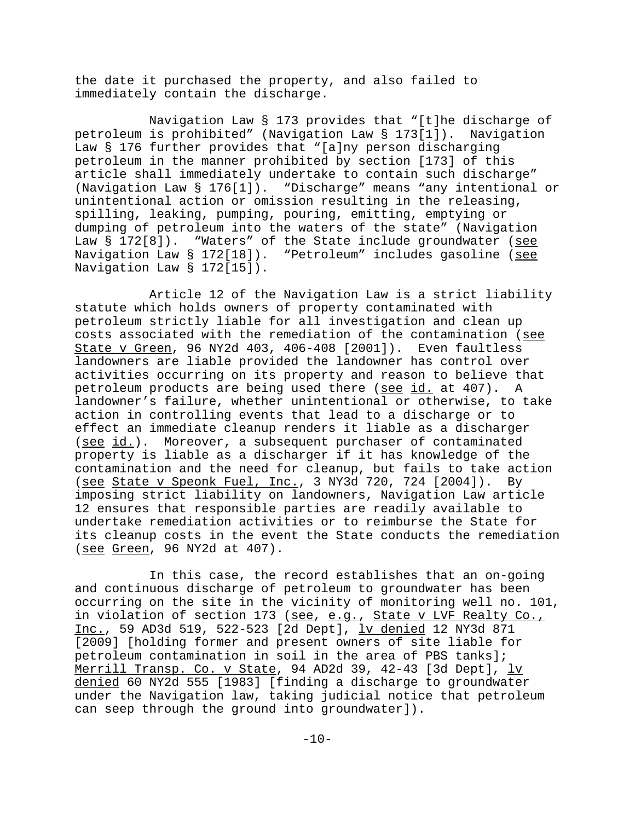the date it purchased the property, and also failed to immediately contain the discharge.

Navigation Law § 173 provides that "[t]he discharge of petroleum is prohibited" (Navigation Law § 173[1]). Navigation Law § 176 further provides that "[a]ny person discharging petroleum in the manner prohibited by section [173] of this article shall immediately undertake to contain such discharge" (Navigation Law § 176[1]). "Discharge" means "any intentional or unintentional action or omission resulting in the releasing, spilling, leaking, pumping, pouring, emitting, emptying or dumping of petroleum into the waters of the state" (Navigation Law  $\S$  172[8]). "Waters" of the State include groundwater (see Navigation Law § 172[18]). "Petroleum" includes gasoline (see Navigation Law § 172[15]).

Article 12 of the Navigation Law is a strict liability statute which holds owners of property contaminated with petroleum strictly liable for all investigation and clean up costs associated with the remediation of the contamination (see State v Green, 96 NY2d 403, 406-408 [2001]). Even faultless landowners are liable provided the landowner has control over activities occurring on its property and reason to believe that petroleum products are being used there (see id. at 407). A landowner's failure, whether unintentional or otherwise, to take action in controlling events that lead to a discharge or to effect an immediate cleanup renders it liable as a discharger (see id.). Moreover, a subsequent purchaser of contaminated property is liable as a discharger if it has knowledge of the contamination and the need for cleanup, but fails to take action (see State v Speonk Fuel, Inc., 3 NY3d 720, 724 [2004]). By imposing strict liability on landowners, Navigation Law article 12 ensures that responsible parties are readily available to undertake remediation activities or to reimburse the State for its cleanup costs in the event the State conducts the remediation (see Green, 96 NY2d at 407).

In this case, the record establishes that an on-going and continuous discharge of petroleum to groundwater has been occurring on the site in the vicinity of monitoring well no. 101, in violation of section 173 (see, e.g., State v LVF Realty Co., Inc., 59 AD3d 519, 522-523 [2d Dept], <u>lv denied</u> 12 NY3d 871 [2009] [holding former and present owners of site liable for petroleum contamination in soil in the area of PBS tanks]; Merrill Transp. Co. v State, 94 AD2d 39, 42-43 [3d Dept], lv denied 60 NY2d 555 [1983] [finding a discharge to groundwater under the Navigation law, taking judicial notice that petroleum can seep through the ground into groundwater]).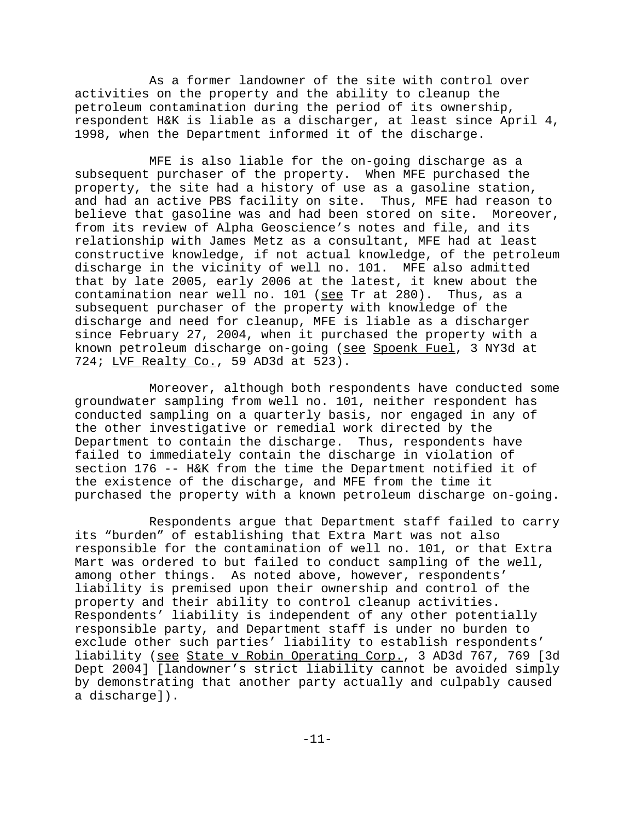As a former landowner of the site with control over activities on the property and the ability to cleanup the petroleum contamination during the period of its ownership, respondent H&K is liable as a discharger, at least since April 4, 1998, when the Department informed it of the discharge.

MFE is also liable for the on-going discharge as a subsequent purchaser of the property. When MFE purchased the property, the site had a history of use as a gasoline station, and had an active PBS facility on site. Thus, MFE had reason to believe that gasoline was and had been stored on site. Moreover, from its review of Alpha Geoscience's notes and file, and its relationship with James Metz as a consultant, MFE had at least constructive knowledge, if not actual knowledge, of the petroleum discharge in the vicinity of well no. 101. MFE also admitted that by late 2005, early 2006 at the latest, it knew about the contamination near well no. 101 (see Tr at 280). Thus, as a subsequent purchaser of the property with knowledge of the discharge and need for cleanup, MFE is liable as a discharger since February 27, 2004, when it purchased the property with a known petroleum discharge on-going (see Spoenk Fuel, 3 NY3d at 724; LVF Realty Co., 59 AD3d at 523).

Moreover, although both respondents have conducted some groundwater sampling from well no. 101, neither respondent has conducted sampling on a quarterly basis, nor engaged in any of the other investigative or remedial work directed by the Department to contain the discharge. Thus, respondents have failed to immediately contain the discharge in violation of section 176 -- H&K from the time the Department notified it of the existence of the discharge, and MFE from the time it purchased the property with a known petroleum discharge on-going.

Respondents argue that Department staff failed to carry its "burden" of establishing that Extra Mart was not also responsible for the contamination of well no. 101, or that Extra Mart was ordered to but failed to conduct sampling of the well, among other things. As noted above, however, respondents' liability is premised upon their ownership and control of the property and their ability to control cleanup activities. Respondents' liability is independent of any other potentially responsible party, and Department staff is under no burden to exclude other such parties' liability to establish respondents' liability (see State v Robin Operating Corp., 3 AD3d 767, 769 [3d Dept 2004] [landowner's strict liability cannot be avoided simply by demonstrating that another party actually and culpably caused a discharge]).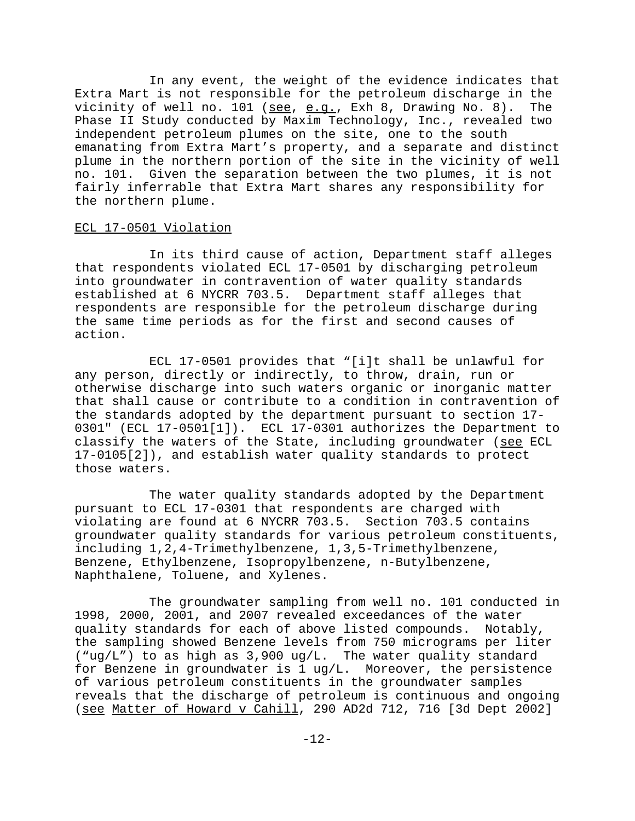In any event, the weight of the evidence indicates that Extra Mart is not responsible for the petroleum discharge in the vicinity of well no. 101 (see, e.g., Exh 8, Drawing No. 8). The Phase II Study conducted by Maxim Technology, Inc., revealed two independent petroleum plumes on the site, one to the south emanating from Extra Mart's property, and a separate and distinct plume in the northern portion of the site in the vicinity of well no. 101. Given the separation between the two plumes, it is not fairly inferrable that Extra Mart shares any responsibility for the northern plume.

# ECL 17-0501 Violation

In its third cause of action, Department staff alleges that respondents violated ECL 17-0501 by discharging petroleum into groundwater in contravention of water quality standards established at 6 NYCRR 703.5. Department staff alleges that respondents are responsible for the petroleum discharge during the same time periods as for the first and second causes of action.

ECL 17-0501 provides that "[i]t shall be unlawful for any person, directly or indirectly, to throw, drain, run or otherwise discharge into such waters organic or inorganic matter that shall cause or contribute to a condition in contravention of the standards adopted by the department pursuant to section 17- 0301" (ECL 17-0501[1]). ECL 17-0301 authorizes the Department to classify the waters of the State, including groundwater (see ECL 17-0105[2]), and establish water quality standards to protect those waters.

The water quality standards adopted by the Department pursuant to ECL 17-0301 that respondents are charged with violating are found at 6 NYCRR 703.5. Section 703.5 contains groundwater quality standards for various petroleum constituents, including 1,2,4-Trimethylbenzene, 1,3,5-Trimethylbenzene, Benzene, Ethylbenzene, Isopropylbenzene, n-Butylbenzene, Naphthalene, Toluene, and Xylenes.

The groundwater sampling from well no. 101 conducted in 1998, 2000, 2001, and 2007 revealed exceedances of the water quality standards for each of above listed compounds. Notably, the sampling showed Benzene levels from 750 micrograms per liter ("ug/L") to as high as 3,900 ug/L. The water quality standard for Benzene in groundwater is 1 ug/L. Moreover, the persistence of various petroleum constituents in the groundwater samples reveals that the discharge of petroleum is continuous and ongoing (see Matter of Howard v Cahill, 290 AD2d 712, 716 [3d Dept 2002]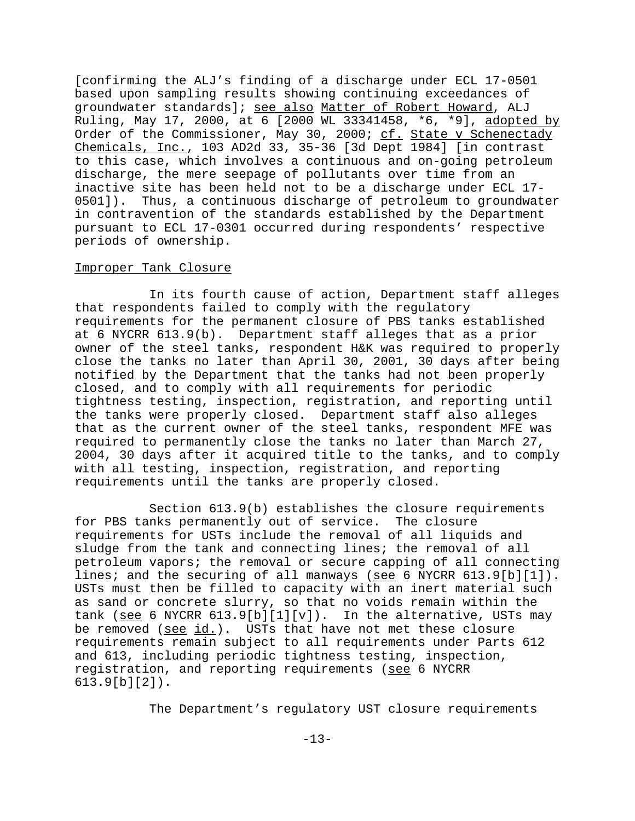[confirming the ALJ's finding of a discharge under ECL 17-0501 based upon sampling results showing continuing exceedances of groundwater standards]; see also Matter of Robert Howard, ALJ Ruling, May 17, 2000, at 6 [2000 WL 33341458, \*6, \*9], adopted by Order of the Commissioner, May 30, 2000; cf. State v Schenectady Chemicals, Inc., 103 AD2d 33, 35-36 [3d Dept 1984] [in contrast to this case, which involves a continuous and on-going petroleum discharge, the mere seepage of pollutants over time from an inactive site has been held not to be a discharge under ECL 17- 0501]). Thus, a continuous discharge of petroleum to groundwater in contravention of the standards established by the Department pursuant to ECL 17-0301 occurred during respondents' respective periods of ownership.

#### Improper Tank Closure

In its fourth cause of action, Department staff alleges that respondents failed to comply with the regulatory requirements for the permanent closure of PBS tanks established at 6 NYCRR 613.9(b). Department staff alleges that as a prior owner of the steel tanks, respondent H&K was required to properly close the tanks no later than April 30, 2001, 30 days after being notified by the Department that the tanks had not been properly closed, and to comply with all requirements for periodic tightness testing, inspection, registration, and reporting until the tanks were properly closed. Department staff also alleges that as the current owner of the steel tanks, respondent MFE was required to permanently close the tanks no later than March 27, 2004, 30 days after it acquired title to the tanks, and to comply with all testing, inspection, registration, and reporting requirements until the tanks are properly closed.

Section 613.9(b) establishes the closure requirements for PBS tanks permanently out of service. The closure requirements for USTs include the removal of all liquids and sludge from the tank and connecting lines; the removal of all petroleum vapors; the removal or secure capping of all connecting lines; and the securing of all manways (see 6 NYCRR 613.9[b][1]). USTs must then be filled to capacity with an inert material such as sand or concrete slurry, so that no voids remain within the tank (see 6 NYCRR  $613.9[b][1][v]$ ). In the alternative, USTs may be removed (see id.). USTs that have not met these closure requirements remain subject to all requirements under Parts 612 and 613, including periodic tightness testing, inspection, registration, and reporting requirements (see 6 NYCRR 613.9[b][2]).

The Department's regulatory UST closure requirements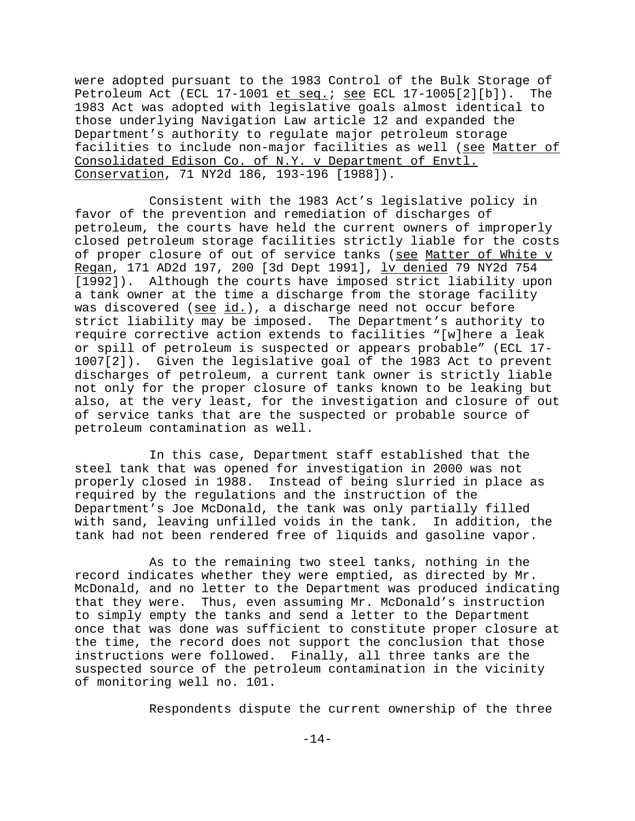were adopted pursuant to the 1983 Control of the Bulk Storage of Petroleum Act (ECL 17-1001  $et$  seq.; see ECL 17-1005[2][b]). The 1983 Act was adopted with legislative goals almost identical to those underlying Navigation Law article 12 and expanded the Department's authority to regulate major petroleum storage facilities to include non-major facilities as well (see Matter of Consolidated Edison Co. of N.Y. v Department of Envtl. Conservation, 71 NY2d 186, 193-196 [1988]).

Consistent with the 1983 Act's legislative policy in favor of the prevention and remediation of discharges of petroleum, the courts have held the current owners of improperly closed petroleum storage facilities strictly liable for the costs of proper closure of out of service tanks (see Matter of White v Regan, 171 AD2d 197, 200 [3d Dept 1991], <u>lv denied</u> 79 NY2d 754 [1992]). Although the courts have imposed strict liability upon a tank owner at the time a discharge from the storage facility was discovered (see id.), a discharge need not occur before strict liability may be imposed. The Department's authority to require corrective action extends to facilities "[w]here a leak or spill of petroleum is suspected or appears probable" (ECL 17- 1007[2]). Given the legislative goal of the 1983 Act to prevent discharges of petroleum, a current tank owner is strictly liable not only for the proper closure of tanks known to be leaking but also, at the very least, for the investigation and closure of out of service tanks that are the suspected or probable source of petroleum contamination as well.

In this case, Department staff established that the steel tank that was opened for investigation in 2000 was not properly closed in 1988. Instead of being slurried in place as required by the regulations and the instruction of the Department's Joe McDonald, the tank was only partially filled with sand, leaving unfilled voids in the tank. In addition, the tank had not been rendered free of liquids and gasoline vapor.

As to the remaining two steel tanks, nothing in the record indicates whether they were emptied, as directed by Mr. McDonald, and no letter to the Department was produced indicating that they were. Thus, even assuming Mr. McDonald's instruction to simply empty the tanks and send a letter to the Department once that was done was sufficient to constitute proper closure at the time, the record does not support the conclusion that those instructions were followed. Finally, all three tanks are the suspected source of the petroleum contamination in the vicinity of monitoring well no. 101.

Respondents dispute the current ownership of the three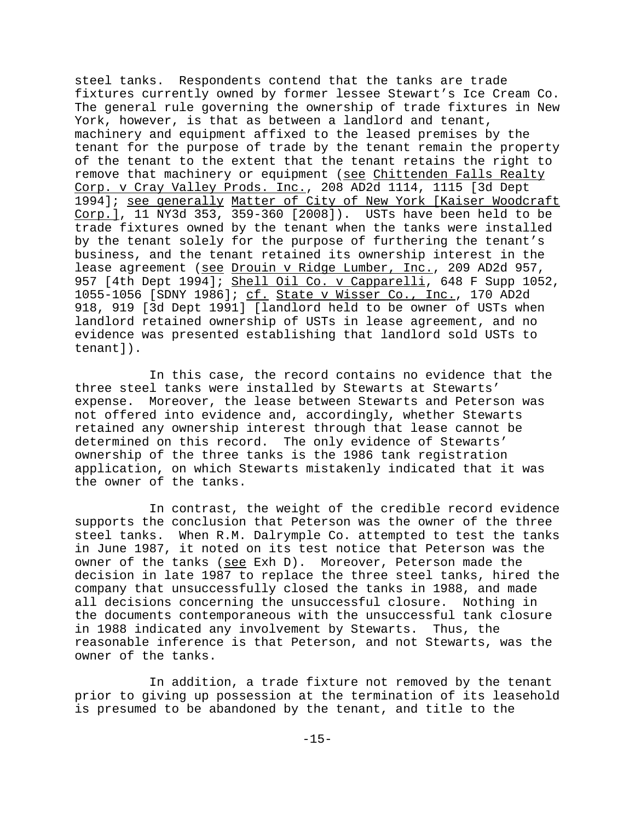steel tanks. Respondents contend that the tanks are trade fixtures currently owned by former lessee Stewart's Ice Cream Co. The general rule governing the ownership of trade fixtures in New York, however, is that as between a landlord and tenant, machinery and equipment affixed to the leased premises by the tenant for the purpose of trade by the tenant remain the property of the tenant to the extent that the tenant retains the right to remove that machinery or equipment (see Chittenden Falls Realty Corp. v Cray Valley Prods. Inc., 208 AD2d 1114, 1115 [3d Dept 1994]; see generally Matter of City of New York [Kaiser Woodcraft Corp.], 11 NY3d 353, 359-360 [2008]). USTs have been held to be trade fixtures owned by the tenant when the tanks were installed by the tenant solely for the purpose of furthering the tenant's business, and the tenant retained its ownership interest in the lease agreement (see Drouin v Ridge Lumber, Inc., 209 AD2d 957, 957 [4th Dept 1994]; Shell Oil Co. v Capparelli, 648 F Supp 1052, 1055-1056 [SDNY 1986]; cf. State v Wisser Co., Inc., 170 AD2d 918, 919 [3d Dept 1991] [landlord held to be owner of USTs when landlord retained ownership of USTs in lease agreement, and no evidence was presented establishing that landlord sold USTs to tenant]).

In this case, the record contains no evidence that the three steel tanks were installed by Stewarts at Stewarts' expense. Moreover, the lease between Stewarts and Peterson was not offered into evidence and, accordingly, whether Stewarts retained any ownership interest through that lease cannot be determined on this record. The only evidence of Stewarts' ownership of the three tanks is the 1986 tank registration application, on which Stewarts mistakenly indicated that it was the owner of the tanks.

In contrast, the weight of the credible record evidence supports the conclusion that Peterson was the owner of the three steel tanks. When R.M. Dalrymple Co. attempted to test the tanks in June 1987, it noted on its test notice that Peterson was the owner of the tanks (see Exh D). Moreover, Peterson made the decision in late 1987 to replace the three steel tanks, hired the company that unsuccessfully closed the tanks in 1988, and made all decisions concerning the unsuccessful closure. Nothing in the documents contemporaneous with the unsuccessful tank closure in 1988 indicated any involvement by Stewarts. Thus, the reasonable inference is that Peterson, and not Stewarts, was the owner of the tanks.

In addition, a trade fixture not removed by the tenant prior to giving up possession at the termination of its leasehold is presumed to be abandoned by the tenant, and title to the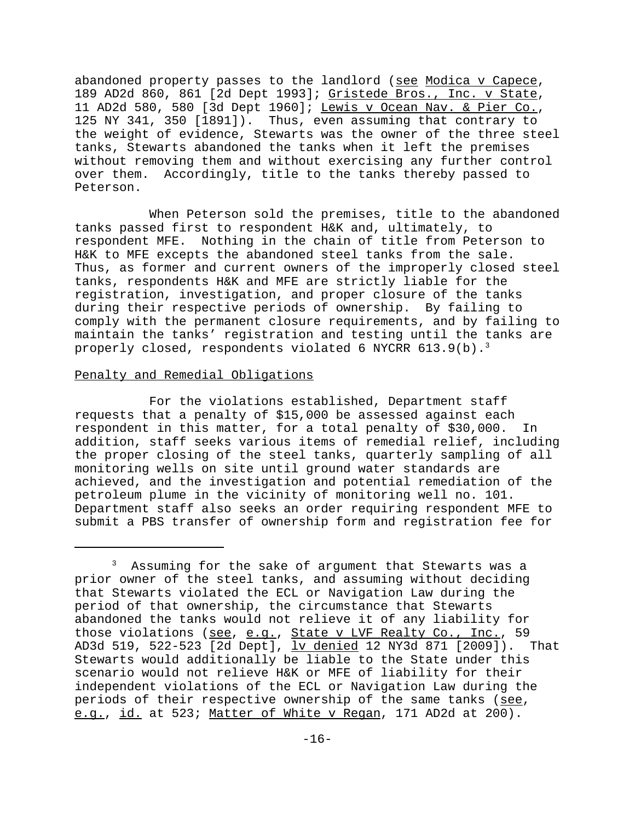abandoned property passes to the landlord (see Modica v Capece, 189 AD2d 860, 861 [2d Dept 1993]; Gristede Bros., Inc. v State, 11 AD2d 580, 580 [3d Dept 1960]; Lewis v Ocean Nav. & Pier Co., 125 NY 341, 350 [1891]). Thus, even assuming that contrary to the weight of evidence, Stewarts was the owner of the three steel tanks, Stewarts abandoned the tanks when it left the premises without removing them and without exercising any further control over them. Accordingly, title to the tanks thereby passed to Peterson.

When Peterson sold the premises, title to the abandoned tanks passed first to respondent H&K and, ultimately, to respondent MFE. Nothing in the chain of title from Peterson to H&K to MFE excepts the abandoned steel tanks from the sale. Thus, as former and current owners of the improperly closed steel tanks, respondents H&K and MFE are strictly liable for the registration, investigation, and proper closure of the tanks during their respective periods of ownership. By failing to comply with the permanent closure requirements, and by failing to maintain the tanks' registration and testing until the tanks are properly closed, respondents violated 6 NYCRR  $613.9(b).$ <sup>3</sup>

# Penalty and Remedial Obligations

For the violations established, Department staff requests that a penalty of \$15,000 be assessed against each respondent in this matter, for a total penalty of \$30,000. In addition, staff seeks various items of remedial relief, including the proper closing of the steel tanks, quarterly sampling of all monitoring wells on site until ground water standards are achieved, and the investigation and potential remediation of the petroleum plume in the vicinity of monitoring well no. 101. Department staff also seeks an order requiring respondent MFE to submit a PBS transfer of ownership form and registration fee for

<sup>&</sup>lt;sup>3</sup> Assuming for the sake of argument that Stewarts was a prior owner of the steel tanks, and assuming without deciding that Stewarts violated the ECL or Navigation Law during the period of that ownership, the circumstance that Stewarts abandoned the tanks would not relieve it of any liability for those violations (see, e.g., State v LVF Realty Co., Inc., 59 AD3d 519, 522-523 [2d Dept], <u>lv denied</u> 12 NY3d 871 [2009]). That Stewarts would additionally be liable to the State under this scenario would not relieve H&K or MFE of liability for their independent violations of the ECL or Navigation Law during the periods of their respective ownership of the same tanks (see, e.g., id. at 523; Matter of White v Regan, 171 AD2d at 200).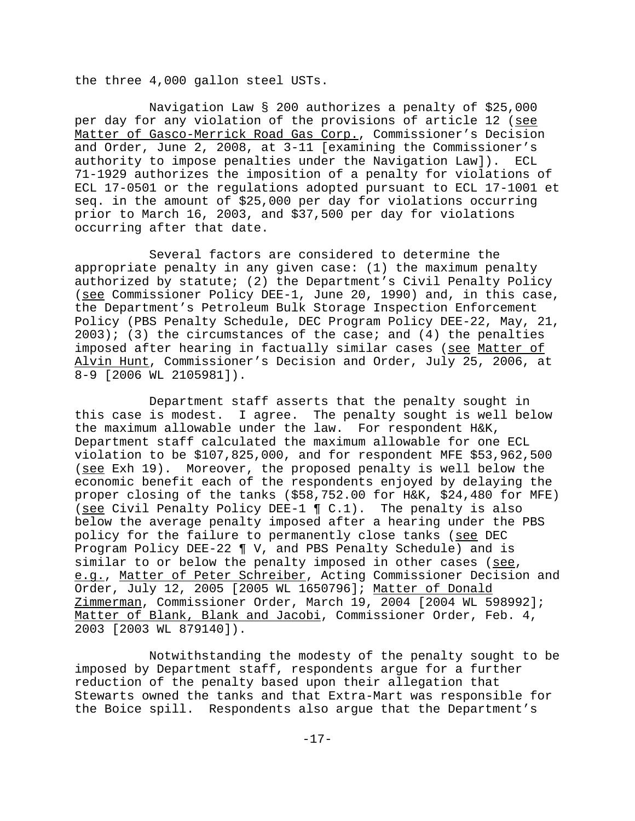the three 4,000 gallon steel USTs.

Navigation Law § 200 authorizes a penalty of \$25,000 per day for any violation of the provisions of article 12 (see Matter of Gasco-Merrick Road Gas Corp., Commissioner's Decision and Order, June 2, 2008, at 3-11 [examining the Commissioner's authority to impose penalties under the Navigation Law]). ECL 71-1929 authorizes the imposition of a penalty for violations of ECL 17-0501 or the regulations adopted pursuant to ECL 17-1001 et seq. in the amount of \$25,000 per day for violations occurring prior to March 16, 2003, and \$37,500 per day for violations occurring after that date.

Several factors are considered to determine the appropriate penalty in any given case: (1) the maximum penalty authorized by statute; (2) the Department's Civil Penalty Policy (see Commissioner Policy DEE-1, June 20, 1990) and, in this case, the Department's Petroleum Bulk Storage Inspection Enforcement Policy (PBS Penalty Schedule, DEC Program Policy DEE-22, May, 21,  $2003$ ; (3) the circumstances of the case; and (4) the penalties imposed after hearing in factually similar cases (see Matter of Alvin Hunt, Commissioner's Decision and Order, July 25, 2006, at 8-9 [2006 WL 2105981]).

Department staff asserts that the penalty sought in this case is modest. I agree. The penalty sought is well below the maximum allowable under the law. For respondent H&K, Department staff calculated the maximum allowable for one ECL violation to be \$107,825,000, and for respondent MFE \$53,962,500 (see Exh 19). Moreover, the proposed penalty is well below the economic benefit each of the respondents enjoyed by delaying the proper closing of the tanks (\$58,752.00 for H&K, \$24,480 for MFE) (see Civil Penalty Policy DEE-1 ¶ C.1). The penalty is also below the average penalty imposed after a hearing under the PBS policy for the failure to permanently close tanks (see DEC Program Policy DEE-22 ¶ V, and PBS Penalty Schedule) and is similar to or below the penalty imposed in other cases (see, e.g., Matter of Peter Schreiber, Acting Commissioner Decision and Order, July 12, 2005 [2005 WL 1650796]; Matter of Donald Zimmerman, Commissioner Order, March 19, 2004 [2004 WL 598992]; Matter of Blank, Blank and Jacobi, Commissioner Order, Feb. 4, 2003 [2003 WL 879140]).

Notwithstanding the modesty of the penalty sought to be imposed by Department staff, respondents argue for a further reduction of the penalty based upon their allegation that Stewarts owned the tanks and that Extra-Mart was responsible for the Boice spill. Respondents also argue that the Department's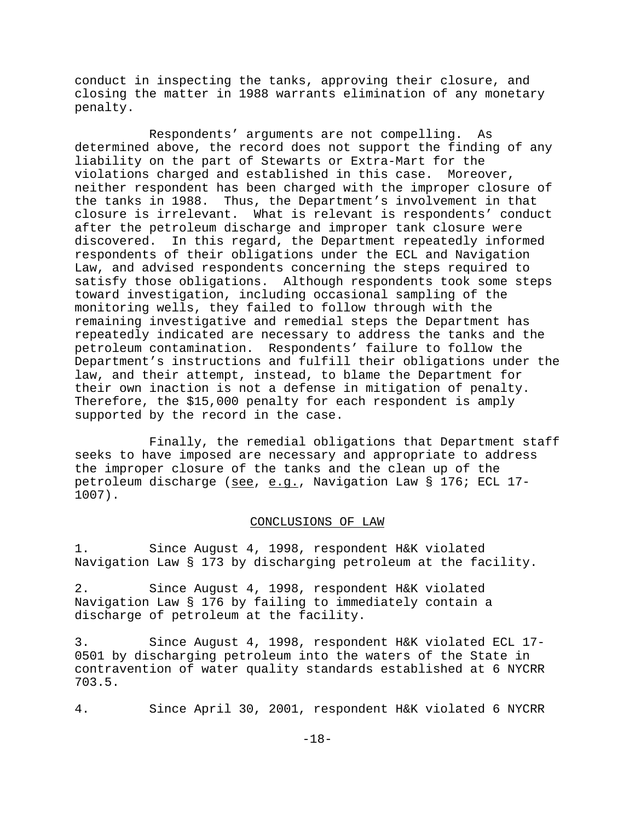conduct in inspecting the tanks, approving their closure, and closing the matter in 1988 warrants elimination of any monetary penalty.

Respondents' arguments are not compelling. As determined above, the record does not support the finding of any liability on the part of Stewarts or Extra-Mart for the violations charged and established in this case. Moreover, neither respondent has been charged with the improper closure of the tanks in 1988. Thus, the Department's involvement in that closure is irrelevant. What is relevant is respondents' conduct after the petroleum discharge and improper tank closure were discovered. In this regard, the Department repeatedly informed respondents of their obligations under the ECL and Navigation Law, and advised respondents concerning the steps required to satisfy those obligations. Although respondents took some steps toward investigation, including occasional sampling of the monitoring wells, they failed to follow through with the remaining investigative and remedial steps the Department has repeatedly indicated are necessary to address the tanks and the petroleum contamination. Respondents' failure to follow the Department's instructions and fulfill their obligations under the law, and their attempt, instead, to blame the Department for their own inaction is not a defense in mitigation of penalty. Therefore, the \$15,000 penalty for each respondent is amply supported by the record in the case.

Finally, the remedial obligations that Department staff seeks to have imposed are necessary and appropriate to address the improper closure of the tanks and the clean up of the petroleum discharge (see, e.g., Navigation Law § 176; ECL 17-1007).

# CONCLUSIONS OF LAW

1. Since August 4, 1998, respondent H&K violated Navigation Law § 173 by discharging petroleum at the facility.

2. Since August 4, 1998, respondent H&K violated Navigation Law § 176 by failing to immediately contain a discharge of petroleum at the facility.

3. Since August 4, 1998, respondent H&K violated ECL 17- 0501 by discharging petroleum into the waters of the State in contravention of water quality standards established at 6 NYCRR 703.5.

4. Since April 30, 2001, respondent H&K violated 6 NYCRR